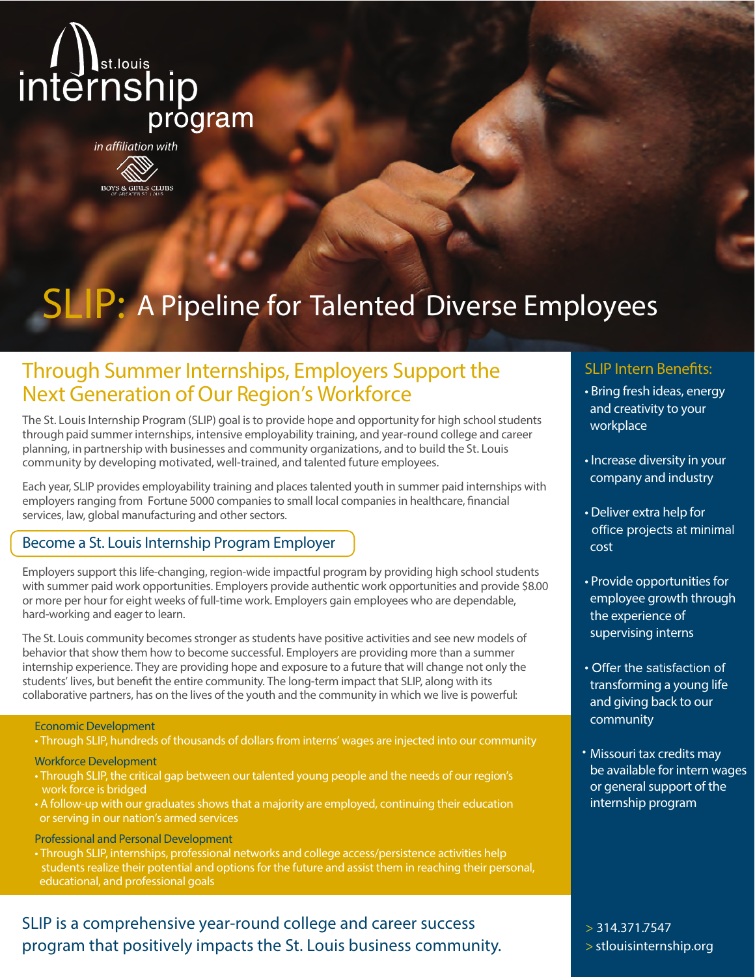

in affiliation with

## **BOYS & GIRLS CLUBS**

# SLIP: A Pipeline for Talented Diverse Employees

## Through Summer Internships, Employers Support the Next Generation of Our Region's Workforce

The St. Louis Internship Program (SLIP) goal is to provide hope and opportunity for high school students through paid summer internships, intensive employability training, and year-round college and career planning, in partnership with businesses and community organizations, and to build the St. Louis community by developing motivated, well-trained, and talented future employees.

Each year, SLIP provides employability training and places talented youth in summer paid internships with employers ranging from **Fortune 5000 companies** to small local companies in healthcare, financial services, law, global manufacturing and other sectors.

#### Become a St. Louis Internship Program Employer

Employers support this life-changing, region-wide impactful program by providing high school students with summer paid work opportunities. Employers provide authentic work opportunities and provide \$8.00 or more per hour for eight weeks of full-time work. Employers gain employees who are dependable, hard-working and eager to learn.

The St. Louis community becomes stronger as students have positive activities and see new models of behavior that show themhow to become successful. Employers are providing more than a summer internship experience. They are providing hope and exposure to a future that will change not only the students' lives, but benefit the entire community. The long-term impact that SLIP, along with its collaborative partners, has on the lives of the youth and the community in which we live is powerful:

#### **Economic Development**

• Through SLIP, hundreds of thousands of dollars from interns' wages are injected into our community

**Workforce Development**

- Through SLIP, the critical gap between our talented young people and the needs of our region's work force is bridged
- A follow-up with our graduates shows that a majority are employed, continuing their education or serving in our nation's armed services

**Professional and Personal Development**

• Through SLIP, internships, professional networks and college access/persistence activities help students realize their potential and options for the future and assist them in reaching their personal, educational, and professional goals

### SLIP is a comprehensive year-round college and career success program that positively impacts the St. Louis business community.

#### SLIP Intern Benefits:

- Bring fresh ideas, energy and creativity to your workplace
- Increase diversity in your company and industry
- Deliver extra help for office projects at minimal cost
- Provide opportunities for employee growth through the experience of supervising interns
- Offer the satisfaction of transforming a young life and giving back to our community
- Missouri tax credits may be available for intern wages or general support of the internship program

**> 314.371.7547 > stlouisinternship.org**